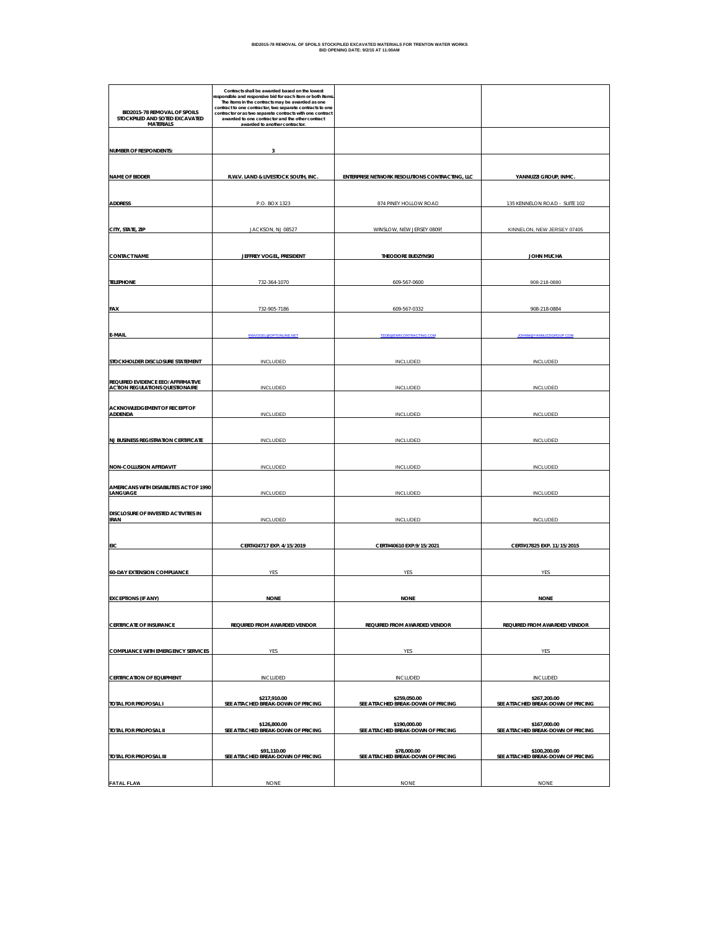| BID2015-78 REMOVAL OF SPOILS<br>STOCKPILED AND SOTED EXCAVATED<br><b>MATERIALS</b> | Contracts shall be awarded based on the lowest<br>responsible and responsive bid for each item or both items<br>The items in the contracts may be awarded as one<br>contract to one contractor, two separate contracts to one<br>contractor or as two separate contracts with one contract<br>awarded to one contractor and the other contract<br>awarded to another contractor. |                                                    |                                                    |
|------------------------------------------------------------------------------------|----------------------------------------------------------------------------------------------------------------------------------------------------------------------------------------------------------------------------------------------------------------------------------------------------------------------------------------------------------------------------------|----------------------------------------------------|----------------------------------------------------|
| <b>NUMBER OF RESPONDENTS:</b>                                                      |                                                                                                                                                                                                                                                                                                                                                                                  |                                                    |                                                    |
|                                                                                    |                                                                                                                                                                                                                                                                                                                                                                                  |                                                    |                                                    |
| <b>NAME OF BIDDER</b>                                                              | R.W.V. LAND & LIVESTOCK SOUTH, INC.                                                                                                                                                                                                                                                                                                                                              | ENTERPRISE NETWORK RESOLUTIONS CONTRACTING, LLC    | YANNUZZI GROUP, INMC                               |
| <b>ADDRESS</b>                                                                     | P.O. BOX 1323                                                                                                                                                                                                                                                                                                                                                                    | 874 PINEY HOLLOW ROAD                              | 135 KENNELON ROAD - SUITE 102                      |
| CITY, STATE, ZIP                                                                   | JACKSON, NJ 08527                                                                                                                                                                                                                                                                                                                                                                | WINSLOW, NEW JERSEY 08095                          | KINNELON, NEW JERSEY 07405                         |
| <b>CONTACT NAME</b>                                                                | JEFFREY VOGEL, PRESIDENT                                                                                                                                                                                                                                                                                                                                                         | THEODORE BUDZYNSKI                                 | <b>JOHN MUCHA</b>                                  |
|                                                                                    |                                                                                                                                                                                                                                                                                                                                                                                  |                                                    |                                                    |
| <b>TELEPHONE</b>                                                                   | 732-364-1070                                                                                                                                                                                                                                                                                                                                                                     | 609-567-0600                                       | 908-218-0880                                       |
|                                                                                    |                                                                                                                                                                                                                                                                                                                                                                                  |                                                    |                                                    |
| <b>FAX</b>                                                                         | 732-905-7186                                                                                                                                                                                                                                                                                                                                                                     | 609-567-0332                                       | 908-218-0884                                       |
| E-MAIL                                                                             | RWVOGEL @OPTONLINE NET                                                                                                                                                                                                                                                                                                                                                           | TEDB@ENRCONTRACTING.CO                             | <b>JOHNM@YANNUZZIGROUR</b>                         |
|                                                                                    |                                                                                                                                                                                                                                                                                                                                                                                  |                                                    |                                                    |
| STOCKHOLDER DISCLOSURE STATEMENT                                                   | <b>INCLUDED</b>                                                                                                                                                                                                                                                                                                                                                                  | INCLUDED                                           | INCLUDED                                           |
|                                                                                    |                                                                                                                                                                                                                                                                                                                                                                                  |                                                    |                                                    |
| REQUIRED EVIDENCE EEO/AFFIRMATIVE<br><b>ACTION REGULATIONS QUESTIONAIRE</b>        | INCLUDED                                                                                                                                                                                                                                                                                                                                                                         | INCLUDED                                           | INCLUDED                                           |
|                                                                                    |                                                                                                                                                                                                                                                                                                                                                                                  |                                                    |                                                    |
| ACKNOWLEDGEMENT OF RECEIPT OF<br>ADDENDA                                           | INCLUDED                                                                                                                                                                                                                                                                                                                                                                         | INCLUDED                                           | <b>INCLUDED</b>                                    |
|                                                                                    |                                                                                                                                                                                                                                                                                                                                                                                  |                                                    |                                                    |
| <b>NJ BUSINESS REGISTRATION CERTIFICATE</b>                                        | INCLUDED                                                                                                                                                                                                                                                                                                                                                                         | INCLUDED                                           | INCLUDED                                           |
|                                                                                    |                                                                                                                                                                                                                                                                                                                                                                                  |                                                    |                                                    |
| <b>NON-COLLUSION AFFIDAVIT</b>                                                     | INCLUDED                                                                                                                                                                                                                                                                                                                                                                         | INCLUDED                                           | <b>INCLUDED</b>                                    |
| AMERICANS WITH DISABILITIES ACT OF 1990<br>LANGUAGE                                | INCLUDED                                                                                                                                                                                                                                                                                                                                                                         | INCLUDED                                           | INCLUDED                                           |
| DISCLOSURE OF INVESTED ACTIVITIES IN                                               |                                                                                                                                                                                                                                                                                                                                                                                  |                                                    |                                                    |
| <b>IRAN</b>                                                                        | INCLUDED                                                                                                                                                                                                                                                                                                                                                                         | INCLUDED                                           | INCLUDED                                           |
|                                                                                    |                                                                                                                                                                                                                                                                                                                                                                                  |                                                    |                                                    |
| EIC                                                                                | CERT#24717 EXP. 4/15/2019                                                                                                                                                                                                                                                                                                                                                        | CERT#40610 EXP.9/15/2021                           | CERT#17825 EXP. 11/15/2015                         |
|                                                                                    |                                                                                                                                                                                                                                                                                                                                                                                  |                                                    |                                                    |
| <b>60-DAY EXTENSION COMPLIANCE</b>                                                 | YES                                                                                                                                                                                                                                                                                                                                                                              | YES                                                | YES                                                |
|                                                                                    |                                                                                                                                                                                                                                                                                                                                                                                  |                                                    |                                                    |
| <b>EXCEPTIONS (IF ANY)</b>                                                         | <b>NONE</b>                                                                                                                                                                                                                                                                                                                                                                      | <b>NONE</b>                                        | <b>NONE</b>                                        |
| <b>CERTIFICATE OF INSURANCE</b>                                                    | REQUIRED FROM AWARDED VENDOR                                                                                                                                                                                                                                                                                                                                                     | REQUIRED FROM AWARDED VENDOR                       | REQUIRED FROM AWARDED VENDOR                       |
|                                                                                    |                                                                                                                                                                                                                                                                                                                                                                                  |                                                    |                                                    |
| <b>COMPLIANCE WITH EMERGENCY SERVICES</b>                                          | YES                                                                                                                                                                                                                                                                                                                                                                              | YES                                                | YES                                                |
|                                                                                    |                                                                                                                                                                                                                                                                                                                                                                                  |                                                    |                                                    |
| <b>CERTIFICATION OF EQUIPMENT</b>                                                  | <b>INCLUDED</b>                                                                                                                                                                                                                                                                                                                                                                  | <b>INCLUDED</b>                                    | INCLUDED                                           |
| TOTAL FOR PROPOSAL I                                                               | \$217,910.00<br>SEE ATTACHED BREAK-DOWN OF PRICING                                                                                                                                                                                                                                                                                                                               | \$259,050.00<br>SEE ATTACHED BREAK-DOWN OF PRICING | \$267,200.00<br>SEE ATTACHED BREAK-DOWN OF PRICING |
| TOTAL FOR PROPOSAL II                                                              | \$126,800.00<br>SEE ATTACHED BREAK-DOWN OF PRICING                                                                                                                                                                                                                                                                                                                               | \$190,000.00<br>SEE ATTACHED BREAK-DOWN OF PRICING | \$167,000.00<br>SEE ATTACHED BREAK-DOWN OF PRICING |
|                                                                                    |                                                                                                                                                                                                                                                                                                                                                                                  |                                                    |                                                    |
| TOTAL FOR PROPOSAL III                                                             | \$91,110.00<br>SEE ATTACHED BREAK-DOWN OF PRICING                                                                                                                                                                                                                                                                                                                                | \$78,000.00<br>SEE ATTACHED BREAK-DOWN OF PRICING  | \$100,200.00<br>SEE ATTACHED BREAK-DOWN OF PRICING |
|                                                                                    |                                                                                                                                                                                                                                                                                                                                                                                  |                                                    |                                                    |
| <b>FATAL FLAW</b>                                                                  | <b>NONE</b>                                                                                                                                                                                                                                                                                                                                                                      | <b>NONE</b>                                        | <b>NONE</b>                                        |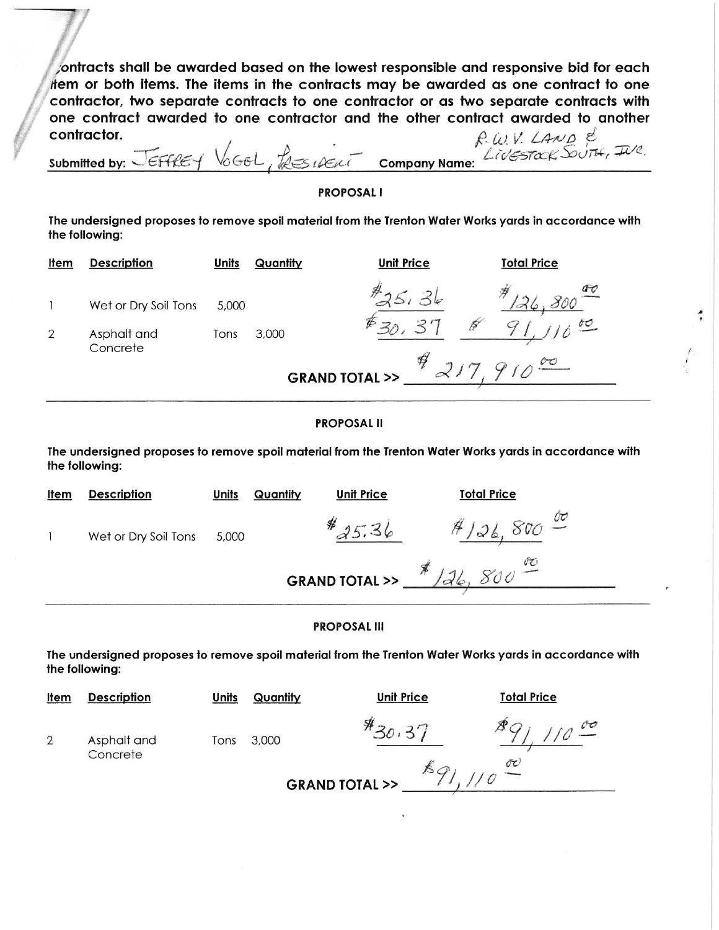ontracts shall be awarded based on the lowest responsible and responsive bid for each them or both items. The items in the contracts may be awarded as one contract to one contractor, two separate contracts to one contractor or as two separate contracts with one contract awarded to one contractor and the other contract awarded to another contractor.  $P$  (i)  $V$  / AND  $E$ 

| Submitted by: $\sqrt{\epsilon}$ Ff $\ell \epsilon$ | TRESIDENT<br>VOGEL | <b>Company Name:</b> | LIVESTOCK DUTH, IVO |  |
|----------------------------------------------------|--------------------|----------------------|---------------------|--|
|                                                    |                    |                      |                     |  |

## **PROPOSAL I**

The undersigned proposes to remove spoil material from the Trenton Water Works yards in accordance with the following:

| <u>Item</u>    | <b>Description</b>                  | Units         | Quantity                    | <b>Unit Price</b> | <b>Total Price</b> |
|----------------|-------------------------------------|---------------|-----------------------------|-------------------|--------------------|
| $\overline{2}$ | Wet or Dry Soil Tons<br>Asphalt and | 5,000<br>Tons | 3,000                       | H                 | $\overline{0}$     |
|                | Concrete                            |               | <b>GRAND TOTAL &gt;&gt;</b> | ≉                 |                    |

## **PROPOSAL II**

The undersigned proposes to remove spoil material from the Trenton Water Works yards in accordance with the following:

| <b>Item</b> | <b>Description</b>   | <b>Units</b> | Quantity | <b>Unit Price</b>                              | <b>Total Price</b> |  |
|-------------|----------------------|--------------|----------|------------------------------------------------|--------------------|--|
|             | Wet or Dry Soil Tons | 5,000        |          | ₩                                              |                    |  |
|             |                      |              |          | GRAND TOTAL >> $\frac{\cancel*}{\cancel*}$ /26 | $rac{1}{\sqrt{2}}$ |  |

## **PROPOSAL III**

The undersigned proposes to remove spoil material from the Trenton Water Works yards in accordance with the following:

| <u>Item</u>    | <b>Description</b>      | <b>Units</b> | Quantity | <b>Unit Price</b>           | <b>Total Price</b> |
|----------------|-------------------------|--------------|----------|-----------------------------|--------------------|
| $\overline{2}$ | Asphalt and<br>Concrete | Tons         | 3,000    | $\frac{4}{30}$              |                    |
|                |                         |              |          | <b>GRAND TOTAL &gt;&gt;</b> | Őτ                 |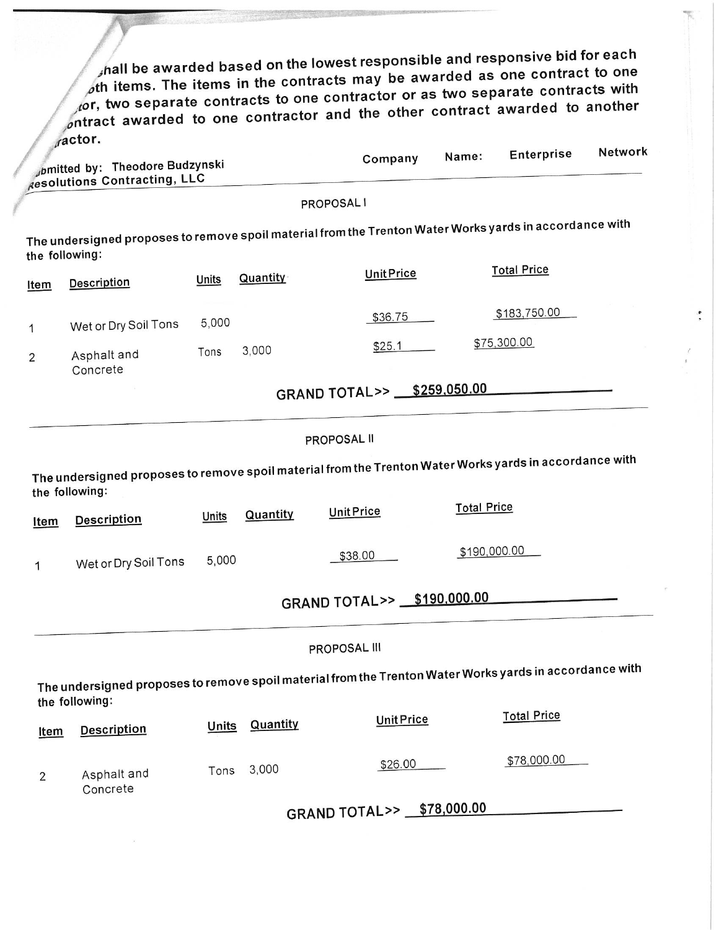$\hat{f}$  hall be awarded based on the lowest responsible and responsive bid for each oth items. The items in the contracts may be awarded as one contract to one for, two separate contracts to one contractor or as two separate contracts with entract awarded to one contractor and the other contract awarded to another<br>ractor.

 $\ddot{\cdot}$ 

|                | $\mu$ aviv<br>pmitted by: Theodore Budzynski                                                                              |              |          | Company                    | Name:              | Enterprise         | Network |
|----------------|---------------------------------------------------------------------------------------------------------------------------|--------------|----------|----------------------------|--------------------|--------------------|---------|
|                | Resolutions Contracting, LLC                                                                                              |              |          |                            |                    |                    |         |
|                |                                                                                                                           |              |          | PROPOSAL I                 |                    |                    |         |
|                | The undersigned proposes to remove spoil material from the Trenton Water Works yards in accordance with<br>the following: |              |          |                            |                    |                    |         |
| <u>Item</u>    | <b>Description</b>                                                                                                        | Units        | Quantity | <b>Unit Price</b>          |                    | <b>Total Price</b> |         |
| 1              | Wet or Dry Soil Tons                                                                                                      | 5,000        |          | \$36.75                    |                    | \$183,750.00       |         |
| $\overline{2}$ | Asphalt and<br>Concrete                                                                                                   | Tons         | 3,000    | \$25.1                     |                    | \$75,300.00        |         |
|                |                                                                                                                           |              |          | GRAND TOTAL>> \$259,050.00 |                    |                    |         |
|                |                                                                                                                           |              |          | PROPOSAL II                |                    |                    |         |
|                | The undersigned proposes to remove spoil material from the Trenton Water Works yards in accordance with<br>the following: |              |          |                            |                    |                    |         |
| <b>Item</b>    | <b>Description</b>                                                                                                        | Units        | Quantity | <b>Unit Price</b>          | <b>Total Price</b> |                    |         |
| 1              | Wet or Dry Soil Tons                                                                                                      | 5,000        |          | \$38.00                    | \$190,000.00       |                    |         |
|                |                                                                                                                           |              |          | GRAND TOTAL>> \$190,000.00 |                    |                    |         |
|                |                                                                                                                           |              |          | PROPOSAL III               |                    |                    |         |
|                | The undersigned proposes to remove spoil material from the Trenton Water Works yards in accordance with<br>the following: |              |          |                            |                    |                    |         |
| Item           | <b>Description</b>                                                                                                        | <b>Units</b> | Quantity | <b>Unit Price</b>          |                    | <b>Total Price</b> |         |
| $\overline{2}$ | Asphalt and<br>Concrete                                                                                                   | Tons         | 3,000    | \$26.00                    |                    | \$78,000.00        |         |
|                |                                                                                                                           |              |          | GRAND TOTAL>> \$78,000.00  |                    |                    |         |